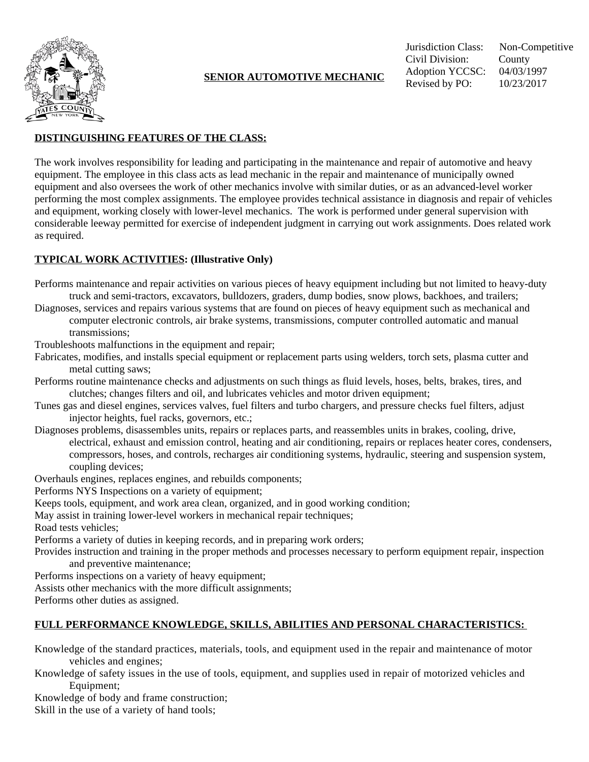

## **DISTINGUISHING FEATURES OF THE CLASS:**

The work involves responsibility for leading and participating in the maintenance and repair of automotive and heavy equipment. The employee in this class acts as lead mechanic in the repair and maintenance of municipally owned equipment and also oversees the work of other mechanics involve with similar duties, or as an advanced-level worker performing the most complex assignments. The employee provides technical assistance in diagnosis and repair of vehicles and equipment, working closely with lower-level mechanics. The work is performed under general supervision with considerable leeway permitted for exercise of independent judgment in carrying out work assignments. Does related work as required.

## **TYPICAL WORK ACTIVITIES: (Illustrative Only)**

- Performs maintenance and repair activities on various pieces of heavy equipment including but not limited to heavy-duty truck and semi-tractors, excavators, bulldozers, graders, dump bodies, snow plows, backhoes, and trailers;
- Diagnoses, services and repairs various systems that are found on pieces of heavy equipment such as mechanical and computer electronic controls, air brake systems, transmissions, computer controlled automatic and manual transmissions;
- Troubleshoots malfunctions in the equipment and repair;
- Fabricates, modifies, and installs special equipment or replacement parts using welders, torch sets, plasma cutter and metal cutting saws;
- Performs routine maintenance checks and adjustments on such things as fluid levels, hoses, belts, brakes, tires, and clutches; changes filters and oil, and lubricates vehicles and motor driven equipment;
- Tunes gas and diesel engines, services valves, fuel filters and turbo chargers, and pressure checks fuel filters, adjust injector heights, fuel racks, governors, etc.;
- Diagnoses problems, disassembles units, repairs or replaces parts, and reassembles units in brakes, cooling, drive, electrical, exhaust and emission control, heating and air conditioning, repairs or replaces heater cores, condensers, compressors, hoses, and controls, recharges air conditioning systems, hydraulic, steering and suspension system, coupling devices;
- Overhauls engines, replaces engines, and rebuilds components;
- Performs NYS Inspections on a variety of equipment;
- Keeps tools, equipment, and work area clean, organized, and in good working condition;
- May assist in training lower-level workers in mechanical repair techniques;
- Road tests vehicles;
- Performs a variety of duties in keeping records, and in preparing work orders;
- Provides instruction and training in the proper methods and processes necessary to perform equipment repair, inspection and preventive maintenance;
- Performs inspections on a variety of heavy equipment;
- Assists other mechanics with the more difficult assignments;
- Performs other duties as assigned.

# **FULL PERFORMANCE KNOWLEDGE, SKILLS, ABILITIES AND PERSONAL CHARACTERISTICS:**

Knowledge of the standard practices, materials, tools, and equipment used in the repair and maintenance of motor vehicles and engines;

- Knowledge of safety issues in the use of tools, equipment, and supplies used in repair of motorized vehicles and Equipment;
- Knowledge of body and frame construction;

Skill in the use of a variety of hand tools;